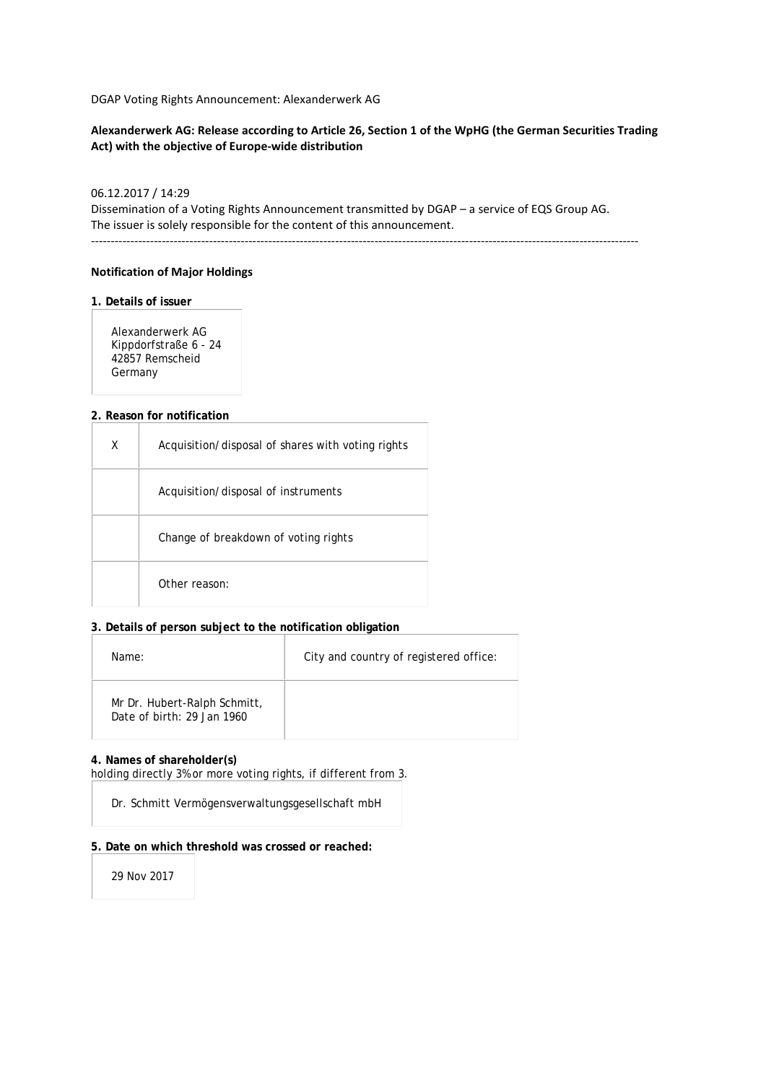DGAP Voting Rights Announcement: Alexanderwerk AG

## **Alexanderwerk AG: Release according to Article 26, Section 1 of the WpHG (the German Securities Trading Act) with the objective of Europe-wide distribution**

## 06.12.2017 / 14:29

Dissemination of a Voting Rights Announcement transmitted by DGAP – a service of EQS Group AG. The issuer is solely responsible for the content of this announcement.

-------------------------------------------------------------------------------------------------------------------------------------------

### **Notification of Major Holdings**

#### **1. Details of issuer**

Alexanderwerk AG Kippdorfstraße 6 - 24 42857 Remscheid Germany

#### **2. Reason for notification**

| Χ | Acquisition/disposal of shares with voting rights |
|---|---------------------------------------------------|
|   | Acquisition/disposal of instruments               |
|   | Change of breakdown of voting rights              |
|   | Other reason:                                     |

### **3. Details of person subject to the notification obligation**

| Name:                                                      | City and country of registered office: |
|------------------------------------------------------------|----------------------------------------|
| Mr Dr. Hubert-Ralph Schmitt,<br>Date of birth: 29 Jan 1960 |                                        |

#### **4. Names of shareholder(s)**

holding directly 3% or more voting rights, if different from 3.

Dr. Schmitt Vermögensverwaltungsgesellschaft mbH

#### **5. Date on which threshold was crossed or reached:**

29 Nov 2017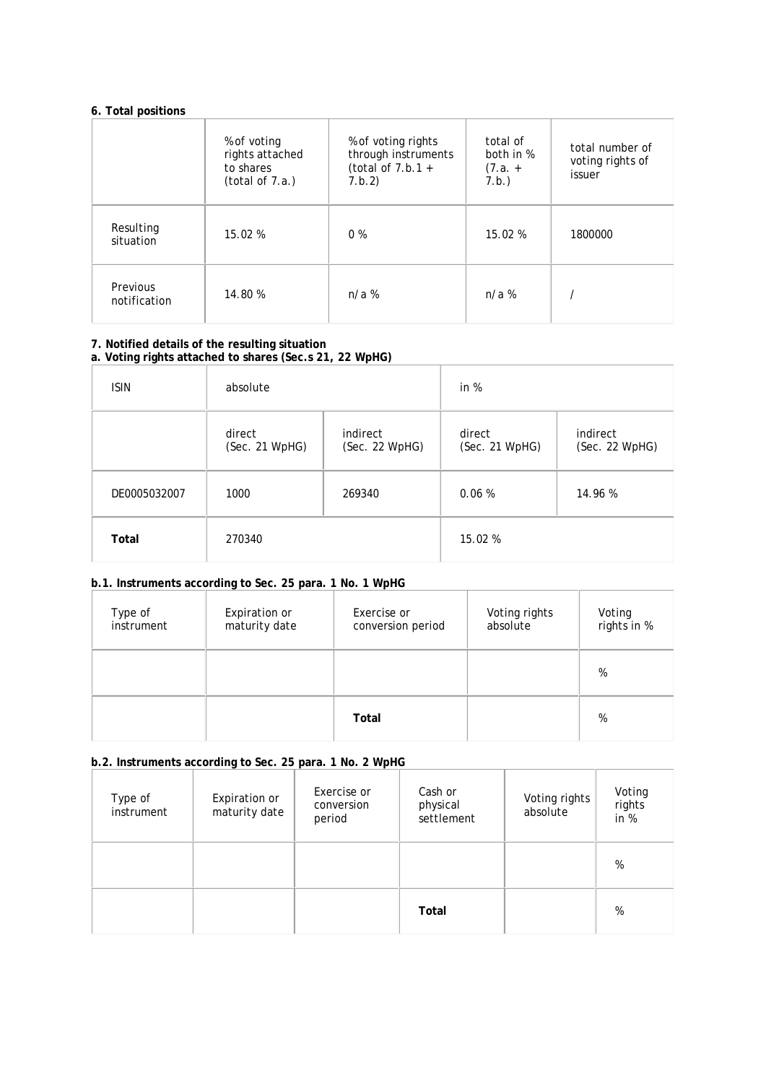## **6. Total positions**

|                          | % of voting<br>rights attached<br>to shares<br>(total of 7.a.) | % of voting rights<br>through instruments<br>(total of $7.b.1 +$<br>7.b.2) | total of<br>both in %<br>$(7.a. +$<br>7.b.) | total number of<br>voting rights of<br>issuer |
|--------------------------|----------------------------------------------------------------|----------------------------------------------------------------------------|---------------------------------------------|-----------------------------------------------|
| Resulting<br>situation   | 15.02%                                                         | $0\%$                                                                      | 15.02 %                                     | 1800000                                       |
| Previous<br>notification | 14.80 %                                                        | $n/a$ %                                                                    | $n/a$ %                                     |                                               |

### **7. Notified details of the resulting situation a. Voting rights attached to shares (Sec.s 21, 22 WpHG)**

| <b>ISIN</b>  | absolute                 |                            | in $%$                   |                            |
|--------------|--------------------------|----------------------------|--------------------------|----------------------------|
|              | direct<br>(Sec. 21 WpHG) | indirect<br>(Sec. 22 WpHG) | direct<br>(Sec. 21 WpHG) | indirect<br>(Sec. 22 WpHG) |
| DE0005032007 | 1000                     | 269340                     | 0.06%                    | 14.96 %                    |
| Total        | 270340                   |                            | 15.02 %                  |                            |

## **b.1. Instruments according to Sec. 25 para. 1 No. 1 WpHG**

| Type of<br>instrument | Expiration or<br>maturity date | Exercise or<br>conversion period | Voting rights<br>absolute | Voting<br>rights in % |
|-----------------------|--------------------------------|----------------------------------|---------------------------|-----------------------|
|                       |                                |                                  |                           | %                     |
|                       |                                | Total                            |                           | %                     |

# **b.2. Instruments according to Sec. 25 para. 1 No. 2 WpHG**

| Type of<br>instrument | Expiration or<br>maturity date | Exercise or<br>conversion<br>period | Cash or<br>physical<br>settlement | Voting rights<br>absolute | Voting<br>rights<br>in $%$ |
|-----------------------|--------------------------------|-------------------------------------|-----------------------------------|---------------------------|----------------------------|
|                       |                                |                                     |                                   |                           | %                          |
|                       |                                |                                     | Total                             |                           | %                          |